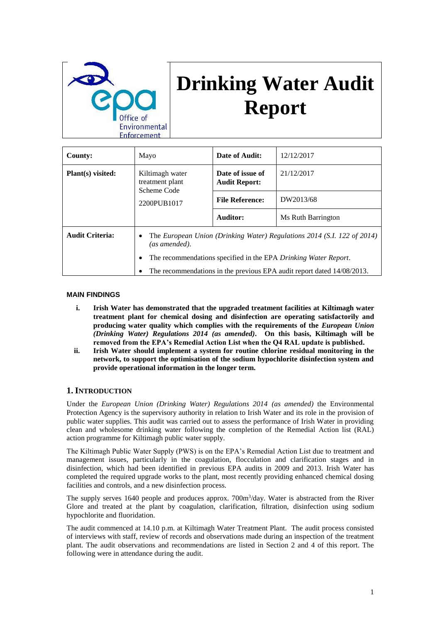

# **Drinking Water Audit Report**

| <b>County:</b>         | Mayo                                                                                                                                                | Date of Audit:                           | 12/12/2017         |
|------------------------|-----------------------------------------------------------------------------------------------------------------------------------------------------|------------------------------------------|--------------------|
| Plant(s) visited:      | Kiltimagh water<br>treatment plant<br>Scheme Code                                                                                                   | Date of issue of<br><b>Audit Report:</b> | 21/12/2017         |
|                        | 2200PUB1017                                                                                                                                         | <b>File Reference:</b>                   | DW2013/68          |
|                        |                                                                                                                                                     | Auditor:                                 | Ms Ruth Barrington |
| <b>Audit Criteria:</b> | The European Union (Drinking Water) Regulations 2014 (S.I. 122 of 2014)<br>٠<br>(as amended).                                                       |                                          |                    |
|                        | The recommendations specified in the EPA Drinking Water Report.<br>٠<br>The recommendations in the previous EPA audit report dated 14/08/2013.<br>٠ |                                          |                    |

#### **MAIN FINDINGS**

- **i. Irish Water has demonstrated that the upgraded treatment facilities at Kiltimagh water treatment plant for chemical dosing and disinfection are operating satisfactorily and producing water quality which complies with the requirements of the** *European Union (Drinking Water) Regulations 2014 (as amended)***. On this basis, Kiltimagh will be removed from the EPA's Remedial Action List when the Q4 RAL update is published.**
- **ii. Irish Water should implement a system for routine chlorine residual monitoring in the network, to support the optimisation of the sodium hypochlorite disinfection system and provide operational information in the longer term.**

## **1. INTRODUCTION**

Under the *European Union (Drinking Water) Regulations 2014 (as amended)* the Environmental Protection Agency is the supervisory authority in relation to Irish Water and its role in the provision of public water supplies. This audit was carried out to assess the performance of Irish Water in providing clean and wholesome drinking water following the completion of the Remedial Action list (RAL) action programme for Kiltimagh public water supply.

The Kiltimagh Public Water Supply (PWS) is on the EPA's Remedial Action List due to treatment and management issues, particularly in the coagulation, flocculation and clarification stages and in disinfection, which had been identified in previous EPA audits in 2009 and 2013. Irish Water has completed the required upgrade works to the plant, most recently providing enhanced chemical dosing facilities and controls, and a new disinfection process.

The supply serves 1640 people and produces approx. 700m<sup>3</sup>/day. Water is abstracted from the River Glore and treated at the plant by coagulation, clarification, filtration, disinfection using sodium hypochlorite and fluoridation.

The audit commenced at 14.10 p.m. at Kiltimagh Water Treatment Plant. The audit process consisted of interviews with staff, review of records and observations made during an inspection of the treatment plant. The audit observations and recommendations are listed in Section 2 and 4 of this report. The following were in attendance during the audit.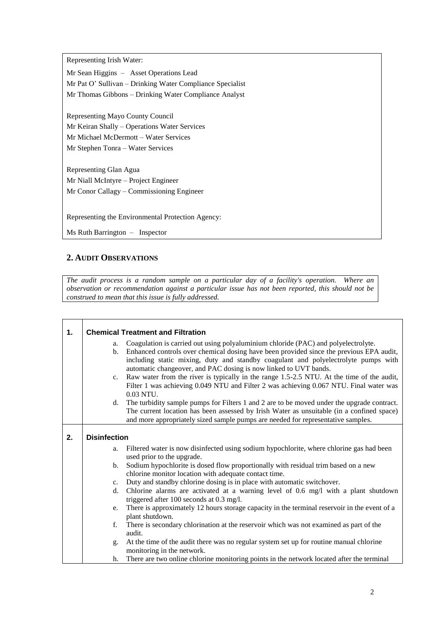Representing Irish Water:

Mr Sean Higgins – Asset Operations Lead Mr Pat O' Sullivan – Drinking Water Compliance Specialist Mr Thomas Gibbons – Drinking Water Compliance Analyst

Representing Mayo County Council Mr Keiran Shally – Operations Water Services Mr Michael McDermott – Water Services Mr Stephen Tonra – Water Services

Representing Glan Agua Mr Niall McIntyre – Project Engineer Mr Conor Callagy – Commissioning Engineer

Representing the Environmental Protection Agency:

Ms Ruth Barrington – Inspector

# **2. AUDIT OBSERVATIONS**

┑

*The audit process is a random sample on a particular day of a facility's operation. Where an observation or recommendation against a particular issue has not been reported, this should not be construed to mean that this issue is fully addressed.*

| 1. | <b>Chemical Treatment and Filtration</b> |                                                                                              |  |  |
|----|------------------------------------------|----------------------------------------------------------------------------------------------|--|--|
|    | a.                                       | Coagulation is carried out using polyaluminium chloride (PAC) and polyelectrolyte.           |  |  |
|    | $b_{\cdot}$                              | Enhanced controls over chemical dosing have been provided since the previous EPA audit,      |  |  |
|    |                                          | including static mixing, duty and standby coagulant and polyelectrolyte pumps with           |  |  |
|    |                                          | automatic changeover, and PAC dosing is now linked to UVT bands.                             |  |  |
|    | c.                                       | Raw water from the river is typically in the range 1.5-2.5 NTU. At the time of the audit,    |  |  |
|    |                                          | Filter 1 was achieving 0.049 NTU and Filter 2 was achieving 0.067 NTU. Final water was       |  |  |
|    |                                          | 0.03 NTU.                                                                                    |  |  |
|    | d.                                       | The turbidity sample pumps for Filters 1 and 2 are to be moved under the upgrade contract.   |  |  |
|    |                                          | The current location has been assessed by Irish Water as unsuitable (in a confined space)    |  |  |
|    |                                          | and more appropriately sized sample pumps are needed for representative samples.             |  |  |
| 2. |                                          |                                                                                              |  |  |
|    | <b>Disinfection</b>                      |                                                                                              |  |  |
|    | a.                                       | Filtered water is now disinfected using sodium hypochlorite, where chlorine gas had been     |  |  |
|    |                                          | used prior to the upgrade.                                                                   |  |  |
|    | b.                                       | Sodium hypochlorite is dosed flow proportionally with residual trim based on a new           |  |  |
|    |                                          | chlorine monitor location with adequate contact time.                                        |  |  |
|    | $c_{\cdot}$                              | Duty and standby chlorine dosing is in place with automatic switchover.                      |  |  |
|    | d.                                       | Chlorine alarms are activated at a warning level of 0.6 mg/l with a plant shutdown           |  |  |
|    |                                          | triggered after 100 seconds at 0.3 mg/l.                                                     |  |  |
|    | e.                                       | There is approximately 12 hours storage capacity in the terminal reservoir in the event of a |  |  |
|    |                                          | plant shutdown.                                                                              |  |  |
|    | f.                                       | There is secondary chlorination at the reservoir which was not examined as part of the       |  |  |
|    |                                          | audit.                                                                                       |  |  |
|    | g.                                       | At the time of the audit there was no regular system set up for routine manual chlorine      |  |  |
|    |                                          | monitoring in the network.                                                                   |  |  |
|    | h.                                       | There are two online chlorine monitoring points in the network located after the terminal    |  |  |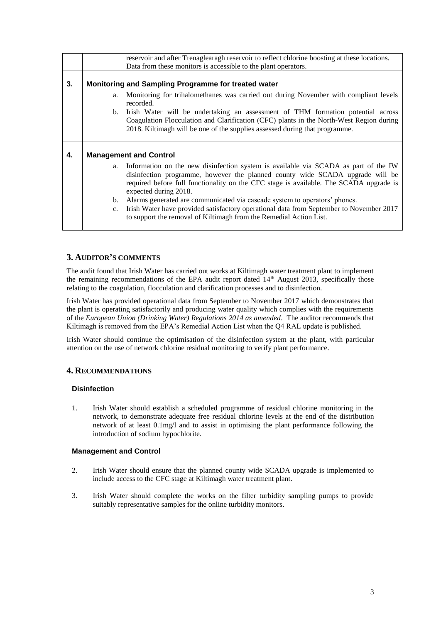|    | reservoir and after Trenaglearagh reservoir to reflect chlorine boosting at these locations.                                                                                                                                                                                                                                                                                                                                                                                                                                                                |  |  |
|----|-------------------------------------------------------------------------------------------------------------------------------------------------------------------------------------------------------------------------------------------------------------------------------------------------------------------------------------------------------------------------------------------------------------------------------------------------------------------------------------------------------------------------------------------------------------|--|--|
|    | Data from these monitors is accessible to the plant operators.                                                                                                                                                                                                                                                                                                                                                                                                                                                                                              |  |  |
|    |                                                                                                                                                                                                                                                                                                                                                                                                                                                                                                                                                             |  |  |
| 3. | Monitoring and Sampling Programme for treated water                                                                                                                                                                                                                                                                                                                                                                                                                                                                                                         |  |  |
|    | a. Monitoring for trihalomethanes was carried out during November with compliant levels<br>recorded.                                                                                                                                                                                                                                                                                                                                                                                                                                                        |  |  |
|    | Irish Water will be undertaking an assessment of THM formation potential across<br>b.<br>Coagulation Flocculation and Clarification (CFC) plants in the North-West Region during<br>2018. Kiltimagh will be one of the supplies assessed during that programme.                                                                                                                                                                                                                                                                                             |  |  |
| 4. | <b>Management and Control</b>                                                                                                                                                                                                                                                                                                                                                                                                                                                                                                                               |  |  |
|    | a. Information on the new disinfection system is available via SCADA as part of the IW<br>disinfection programme, however the planned county wide SCADA upgrade will be<br>required before full functionality on the CFC stage is available. The SCADA upgrade is<br>expected during 2018.<br>b. Alarms generated are communicated via cascade system to operators' phones.<br>Irish Water have provided satisfactory operational data from September to November 2017<br>$c_{\cdot}$<br>to support the removal of Kiltimagh from the Remedial Action List. |  |  |

# **3. AUDITOR'S COMMENTS**

The audit found that Irish Water has carried out works at Kiltimagh water treatment plant to implement the remaining recommendations of the EPA audit report dated  $14<sup>th</sup>$  August 2013, specifically those relating to the coagulation, flocculation and clarification processes and to disinfection.

Irish Water has provided operational data from September to November 2017 which demonstrates that the plant is operating satisfactorily and producing water quality which complies with the requirements of the *European Union (Drinking Water) Regulations 2014 as amended*. The auditor recommends that Kiltimagh is removed from the EPA's Remedial Action List when the Q4 RAL update is published.

Irish Water should continue the optimisation of the disinfection system at the plant, with particular attention on the use of network chlorine residual monitoring to verify plant performance.

## **4. RECOMMENDATIONS**

## **Disinfection**

1. Irish Water should establish a scheduled programme of residual chlorine monitoring in the network, to demonstrate adequate free residual chlorine levels at the end of the distribution network of at least 0.1mg/l and to assist in optimising the plant performance following the introduction of sodium hypochlorite.

## **Management and Control**

- 2. Irish Water should ensure that the planned county wide SCADA upgrade is implemented to include access to the CFC stage at Kiltimagh water treatment plant.
- 3. Irish Water should complete the works on the filter turbidity sampling pumps to provide suitably representative samples for the online turbidity monitors.